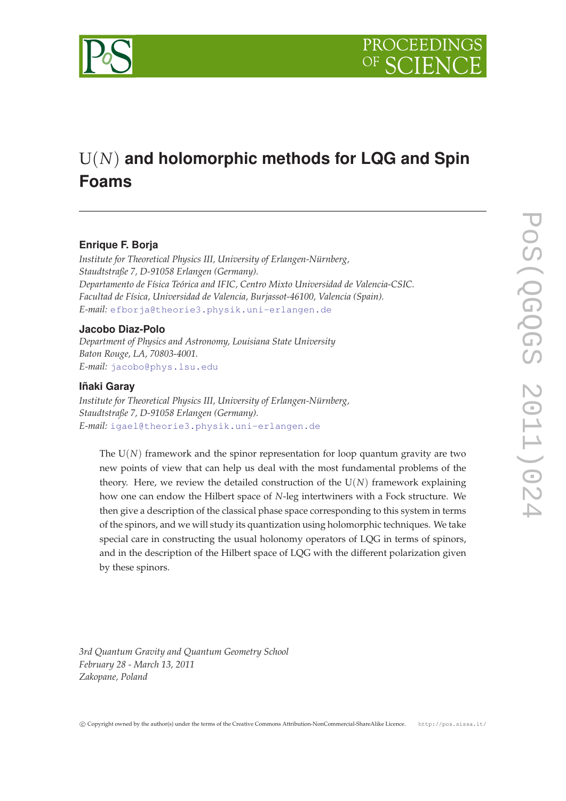

# U(*N*) **and holomorphic methods for LQG and Spin Foams**

## **Enrique F. Borja**

*Institute for Theoretical Physics III, University of Erlangen-Nürnberg, Staudtstraße 7, D-91058 Erlangen (Germany). Departamento de Física Teórica and IFIC, Centro Mixto Universidad de Valencia-CSIC. Facultad de Física, Universidad de Valencia, Burjassot-46100, Valencia (Spain). E-mail:* [efborja@theorie3.physik.uni-erlangen.de](mailto:efborja@theorie3.physik.uni-erlangen.de)

## **Jacobo Diaz-Polo**

*Department of Physics and Astronomy, Louisiana State University Baton Rouge, LA, 70803-4001. E-mail:* [jacobo@phys.lsu.edu](mailto:jacobo@phys.lsu.edu)

## **Iñaki Garay**

*Institute for Theoretical Physics III, University of Erlangen-Nürnberg, Staudtstraße 7, D-91058 Erlangen (Germany). E-mail:* [igael@theorie3.physik.uni-erlangen.de](mailto:igael@theorie3.physik.uni-erlangen.de)

The  $U(N)$  framework and the spinor representation for loop quantum gravity are two new points of view that can help us deal with the most fundamental problems of the theory. Here, we review the detailed construction of the  $U(N)$  framework explaining how one can endow the Hilbert space of *N*-leg intertwiners with a Fock structure. We then give a description of the classical phase space corresponding to this system in terms of the spinors, and we will study its quantization using holomorphic techniques. We take special care in constructing the usual holonomy operators of LQG in terms of spinors, and in the description of the Hilbert space of LQG with the different polarization given by these spinors.

*3rd Quantum Gravity and Quantum Geometry School February 28 - March 13, 2011 Zakopane, Poland*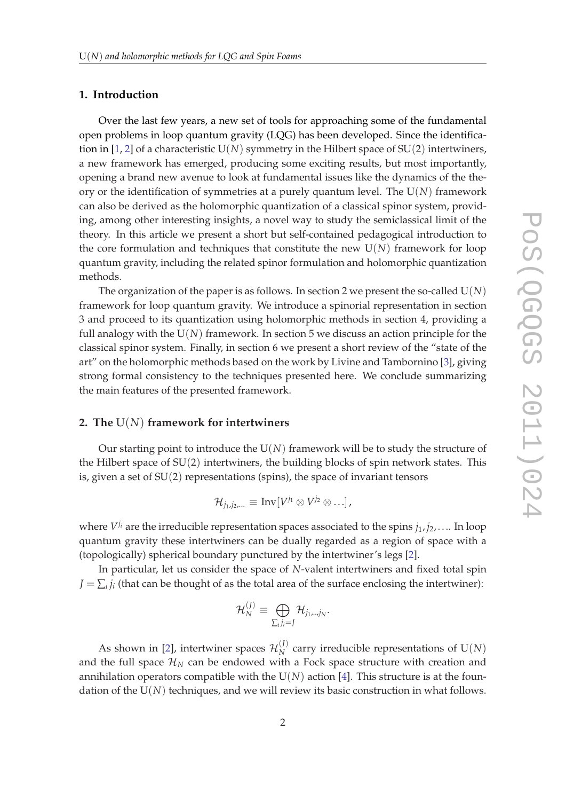## **1. Introduction**

Over the last few years, a new set of tools for approaching some of the fundamental open problems in loop quantum gravity (LQG) has been developed. Since the identifica-tion in [[1](#page-15-0), [2\]](#page-15-0) of a characteristic  $U(N)$  symmetry in the Hilbert space of  $SU(2)$  intertwiners, a new framework has emerged, producing some exciting results, but most importantly, opening a brand new avenue to look at fundamental issues like the dynamics of the theory or the identification of symmetries at a purely quantum level. The U(*N*) framework can also be derived as the holomorphic quantization of a classical spinor system, providing, among other interesting insights, a novel way to study the semiclassical limit of the theory. In this article we present a short but self-contained pedagogical introduction to the core formulation and techniques that constitute the new  $U(N)$  framework for loop quantum gravity, including the related spinor formulation and holomorphic quantization methods.

The organization of the paper is as follows. In section 2 we present the so-called U(*N*) framework for loop quantum gravity. We introduce a spinorial representation in section 3 and proceed to its quantization using holomorphic methods in section 4, providing a full analogy with the  $U(N)$  framework. In section 5 we discuss an action principle for the classical spinor system. Finally, in section 6 we present a short review of the "state of the art" on the holomorphic methods based on the work by Livine and Tambornino [[3](#page-15-0)], giving strong formal consistency to the techniques presented here. We conclude summarizing the main features of the presented framework.

### **2. The** U(*N*) **framework for intertwiners**

Our starting point to introduce the  $U(N)$  framework will be to study the structure of the Hilbert space of SU(2) intertwiners, the building blocks of spin network states. This is, given a set of SU(2) representations (spins), the space of invariant tensors

$$
\mathcal{H}_{j_1,j_2,\ldots}\equiv\mathrm{Inv}[V^{j_1}\otimes V^{j_2}\otimes\ldots],
$$

where *V <sup>j</sup><sup>i</sup>* are the irreducible representation spaces associated to the spins *j*1, *j*2,. . .. In loop quantum gravity these intertwiners can be dually regarded as a region of space with a (topologically) spherical boundary punctured by the intertwiner's legs [[2](#page-15-0)].

In particular, let us consider the space of *N*-valent intertwiners and fixed total spin  $J = \sum_i j_i$  (that can be thought of as the total area of the surface enclosing the intertwiner):

$$
\mathcal{H}_N^{(J)}\equiv \bigoplus_{\Sigma_i j_i=J}\mathcal{H}_{j_1,..,j_N}.
$$

As shown in [[2](#page-15-0)], intertwiner spaces  $\mathcal{H}_N^{(J)}$  $N$ <sup>(*I*</sup>)</sub> carry irreducible representations of  $U(N)$ and the full space  $\mathcal{H}_N$  can be endowed with a Fock space structure with creation and annihilation operators compatible with the  $U(N)$  action [\[4\]](#page-15-0). This structure is at the foundation of the  $U(N)$  techniques, and we will review its basic construction in what follows.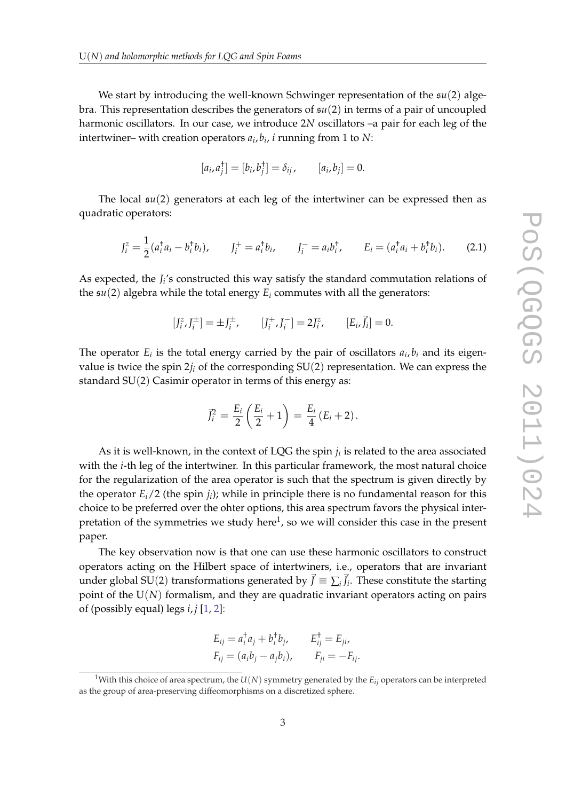We start by introducing the well-known Schwinger representation of the s*u*(2) algebra. This representation describes the generators of s*u*(2) in terms of a pair of uncoupled harmonic oscillators. In our case, we introduce 2*N* oscillators –a pair for each leg of the intertwiner– with creation operators *a<sup>i</sup>* , *bi* , *i* running from 1 to *N*:

$$
[a_i, a_j^{\dagger}] = [b_i, b_j^{\dagger}] = \delta_{ij}, \qquad [a_i, b_j] = 0.
$$

The local s*u*(2) generators at each leg of the intertwiner can be expressed then as quadratic operators:

$$
J_i^z = \frac{1}{2}(a_i^{\dagger}a_i - b_i^{\dagger}b_i), \qquad J_i^+ = a_i^{\dagger}b_i, \qquad J_i^- = a_i^{\dagger}b_i, \qquad E_i = (a_i^{\dagger}a_i + b_i^{\dagger}b_i). \tag{2.1}
$$

As expected, the *J<sup>i</sup>* 's constructed this way satisfy the standard commutation relations of the  $\mathfrak{su}(2)$  algebra while the total energy  $E_i$  commutes with all the generators:

$$
[J_i^z, J_i^{\pm}] = \pm J_i^{\pm}, \qquad [J_i^+, J_i^-] = 2J_i^z, \qquad [E_i, \vec{J}_i] = 0.
$$

The operator  $E_i$  is the total energy carried by the pair of oscillators  $a_i, b_i$  and its eigenvalue is twice the spin  $2j_i$  of the corresponding  $SU(2)$  representation. We can express the standard  $SU(2)$  Casimir operator in terms of this energy as:

$$
\vec{J}_i^2 = \frac{E_i}{2} \left( \frac{E_i}{2} + 1 \right) = \frac{E_i}{4} \left( E_i + 2 \right).
$$

As it is well-known, in the context of LQG the spin *j<sup>i</sup>* is related to the area associated with the *i*-th leg of the intertwiner. In this particular framework, the most natural choice for the regularization of the area operator is such that the spectrum is given directly by the operator *Ei*/2 (the spin *j<sup>i</sup>* ); while in principle there is no fundamental reason for this choice to be preferred over the ohter options, this area spectrum favors the physical interpretation of the symmetries we study here $^1$ , so we will consider this case in the present paper.

The key observation now is that one can use these harmonic oscillators to construct operators acting on the Hilbert space of intertwiners, i.e., operators that are invariant under global SU(2) transformations generated by  $\vec{J} \equiv \sum_i \vec{J}_i$ . These constitute the starting point of the U(*N*) formalism, and they are quadratic invariant operators acting on pairs of (possibly equal) legs *i*, *j* [\[1,](#page-15-0) [2\]](#page-15-0):

$$
E_{ij} = a_i^{\dagger} a_j + b_i^{\dagger} b_j, \qquad E_{ij}^{\dagger} = E_{ji},
$$
  
\n
$$
F_{ij} = (a_i b_j - a_j b_i), \qquad F_{ji} = -F_{ij}.
$$

<sup>&</sup>lt;sup>1</sup>With this choice of area spectrum, the  $U(N)$  symmetry generated by the  $E_{ij}$  operators can be interpreted as the group of area-preserving diffeomorphisms on a discretized sphere.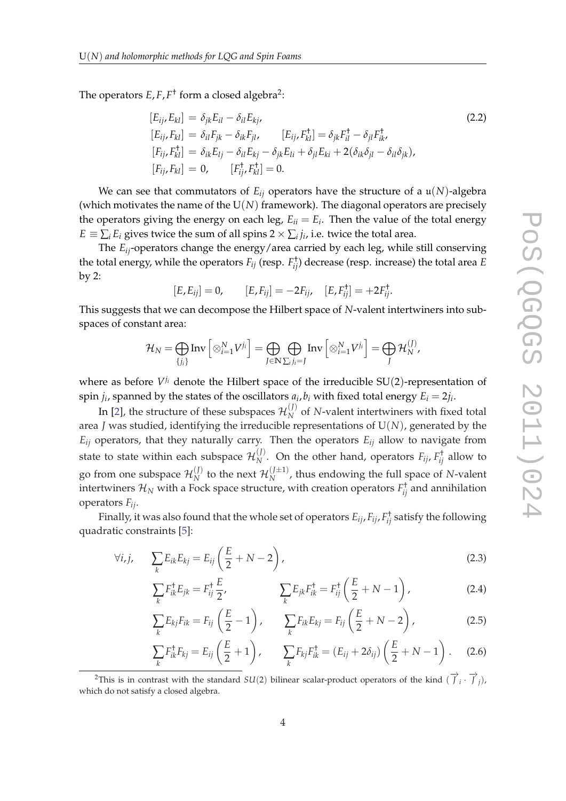<span id="page-3-0"></span>The operators  $E, F, F^{\dagger}$  form a closed algebra<sup>2</sup>:

$$
[E_{ij}, E_{kl}] = \delta_{jk} E_{il} - \delta_{il} E_{kj},
$$
  
\n
$$
[E_{ij}, F_{kl}] = \delta_{il} F_{jk} - \delta_{ik} F_{jl},
$$
  
\n
$$
[E_{ij}, F_{kl}^{\dagger}] = \delta_{ik} E_{lj} - \delta_{il} E_{kj} - \delta_{jk} E_{li} + \delta_{jl} E_{ki} + 2(\delta_{ik} \delta_{jl} - \delta_{il} \delta_{jk}),
$$
  
\n
$$
[F_{ij}, F_{kl}] = 0, \qquad [F_{ij}^{\dagger}, F_{kl}^{\dagger}] = 0.
$$
\n(2.2)

We can see that commutators of  $E_{ij}$  operators have the structure of a  $\mathfrak{u}(N)$ -algebra (which motivates the name of the  $U(N)$  framework). The diagonal operators are precisely the operators giving the energy on each leg,  $E_{ii} = E_i$ . Then the value of the total energy  $E \equiv \sum_i E_i$  gives twice the sum of all spins 2  $\times \sum_i j_i$ , i.e. twice the total area.

The *Eij*-operators change the energy/area carried by each leg, while still conserving the total energy, while the operators  $F_{ij}$  (resp.  $F_{ij}^{\dagger}$ ) decrease (resp. increase) the total area  $E$ by 2:

$$
[E, E_{ij}] = 0, \qquad [E, F_{ij}] = -2F_{ij}, \quad [E, F_{ij}^{\dagger}] = +2F_{ij}^{\dagger}.
$$

This suggests that we can decompose the Hilbert space of *N*-valent intertwiners into subspaces of constant area:

$$
\mathcal{H}_N = \bigoplus_{\{j_i\}} \text{Inv}\left[\otimes_{i=1}^N V^{j_i}\right] = \bigoplus_{J \in \mathbb{N}} \bigoplus_{\sum_i j_i = J} \text{Inv}\left[\otimes_{i=1}^N V^{j_i}\right] = \bigoplus_J \mathcal{H}_N^{(J)},
$$

where as before  $V^{j_i}$  denote the Hilbert space of the irreducible SU(2)-representation of spin  $j_i$ , spanned by the states of the oscillators  $a_i$ ,  $b_i$  with fixed total energy  $E_i = 2j_i$ .

In [\[2\]](#page-15-0), the structure of these subspaces  $\mathcal{H}_N^{(J)}$  $N$ <sup> $M$ </sup> of *N*-valent intertwiners with fixed total area *J* was studied, identifying the irreducible representations of U(*N*), generated by the  $E_{ij}$  operators, that they naturally carry. Then the operators  $E_{ij}$  allow to navigate from state to state within each subspace  $\mathcal{H}_N^{(J)}$  $N^{(1)}$ . On the other hand, operators  $F_{ij}$ ,  $F_{ij}^{\dagger}$  allow to go from one subspace  $\mathcal{H}_N^{(J)}$  $\mathcal{H}_{N}^{(J)}$  to the next  $\mathcal{H}_{N}^{(J\pm 1)}$ , thus endowing the full space of *N*-valent intertwiners  $\mathcal{H}_N$  with a Fock space structure, with creation operators  $F_{ij}^\dagger$  and annihilation operators *Fij*.

Finally, it was also found that the whole set of operators *Eij*, *Fij*, *F* † *ij* satisfy the following quadratic constraints [\[5\]](#page-15-0):

$$
\forall i,j, \qquad \sum_{k} E_{ik} E_{kj} = E_{ij} \left( \frac{E}{2} + N - 2 \right), \tag{2.3}
$$

$$
\sum_{k} F_{ik}^{\dagger} E_{jk} = F_{ij}^{\dagger} \frac{E}{2}, \qquad \sum_{k} E_{jk} F_{ik}^{\dagger} = F_{ij}^{\dagger} \left( \frac{E}{2} + N - 1 \right), \qquad (2.4)
$$

$$
\sum_{k} E_{kj} F_{ik} = F_{ij} \left( \frac{E}{2} - 1 \right), \qquad \sum_{k} F_{ik} E_{kj} = F_{ij} \left( \frac{E}{2} + N - 2 \right), \tag{2.5}
$$

$$
\sum_{k} F_{ik}^{\dagger} F_{kj} = E_{ij} \left( \frac{E}{2} + 1 \right), \qquad \sum_{k} F_{kj} F_{ik}^{\dagger} = (E_{ij} + 2\delta_{ij}) \left( \frac{E}{2} + N - 1 \right). \tag{2.6}
$$

<sup>2</sup>This is in contrast with the standard  $SU(2)$  bilinear scalar-product operators of the kind  $(\overrightarrow{J}_i \cdot \overrightarrow{J}_j)$ , which do not satisfy a closed algebra.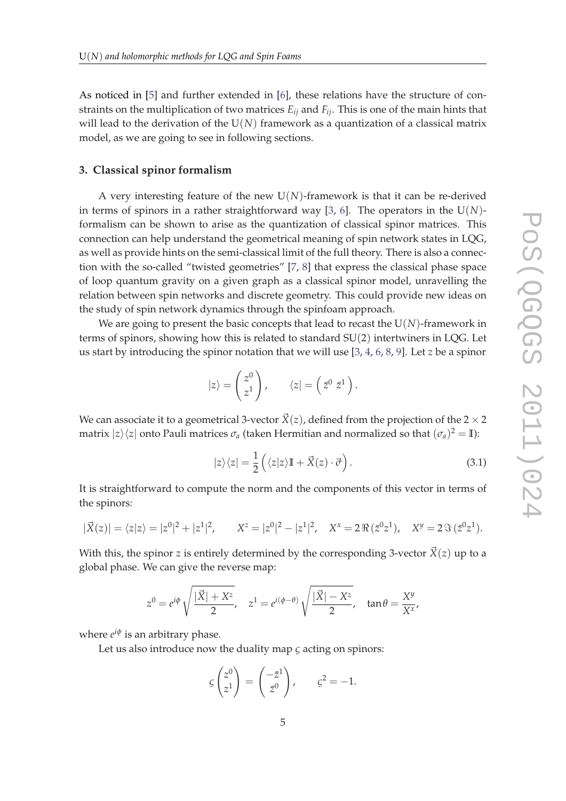As noticed in [[5](#page-15-0)] and further extended in [[6](#page-15-0)], these relations have the structure of constraints on the multiplication of two matrices *Eij* and *Fij*. This is one of the main hints that will lead to the derivation of the U(*N*) framework as a quantization of a classical matrix model, as we are going to see in following sections.

#### **3. Classical spinor formalism**

A very interesting feature of the new  $U(N)$ -framework is that it can be re-derived in terms of spinors in a rather straightforward way [\[3,](#page-15-0) [6](#page-15-0)]. The operators in the U(*N*) formalism can be shown to arise as the quantization of classical spinor matrices. This connection can help understand the geometrical meaning of spin network states in LQG, as well as provide hints on the semi-classical limit of the full theory. There is also a connection with the so-called "twisted geometries" [\[7,](#page-15-0) [8](#page-15-0)] that express the classical phase space of loop quantum gravity on a given graph as a classical spinor model, unravelling the relation between spin networks and discrete geometry. This could provide new ideas on the study of spin network dynamics through the spinfoam approach.

We are going to present the basic concepts that lead to recast the  $U(N)$ -framework in terms of spinors, showing how this is related to standard SU(2) intertwiners in LQG. Let us start by introducing the spinor notation that we will use [\[3,](#page-15-0) [4,](#page-15-0) [6,](#page-15-0) [8,](#page-15-0) [9](#page-15-0)]. Let *z* be a spinor

$$
|z\rangle = \begin{pmatrix} z^0 \\ z^1 \end{pmatrix}, \qquad \langle z| = \left(\bar{z}^0 \ \bar{z}^1\right).
$$

We can associate it to a geometrical 3-vector  $\vec{X}(z)$ , defined from the projection of the 2  $\times$  2 matrix  $|z\rangle\langle z|$  onto Pauli matrices  $\sigma_a$  (taken Hermitian and normalized so that  $(\sigma_a)^2 = \mathbb{I}$ ):

$$
|z\rangle\langle z| = \frac{1}{2} \left( \langle z|z \rangle \mathbb{I} + \vec{X}(z) \cdot \vec{\sigma} \right). \tag{3.1}
$$

It is straightforward to compute the norm and the components of this vector in terms of the spinors:

$$
|\vec{X}(z)| = \langle z|z \rangle = |z^0|^2 + |z^1|^2
$$
,  $X^z = |z^0|^2 - |z^1|^2$ ,  $X^x = 2 \Re(z^0 z^1)$ ,  $X^y = 2 \Im(z^0 z^1)$ .

With this, the spinor *z* is entirely determined by the corresponding 3-vector  $\vec{X}(z)$  up to a global phase. We can give the reverse map:

$$
z^{0}=e^{i\phi}\sqrt{\frac{|\vec{X}|+X^{z}}{2}}, \quad z^{1}=e^{i(\phi-\theta)}\sqrt{\frac{|\vec{X}|-X^{z}}{2}}, \quad \tan\theta=\frac{X^{y}}{X^{x}},
$$

where  $e^{i\phi}$  is an arbitrary phase.

Let us also introduce now the duality map *ς* acting on spinors:

$$
\varsigma \begin{pmatrix} z^0 \\ z^1 \end{pmatrix} = \begin{pmatrix} -\bar{z}^1 \\ \bar{z}^0 \end{pmatrix}, \qquad \varsigma^2 = -1.
$$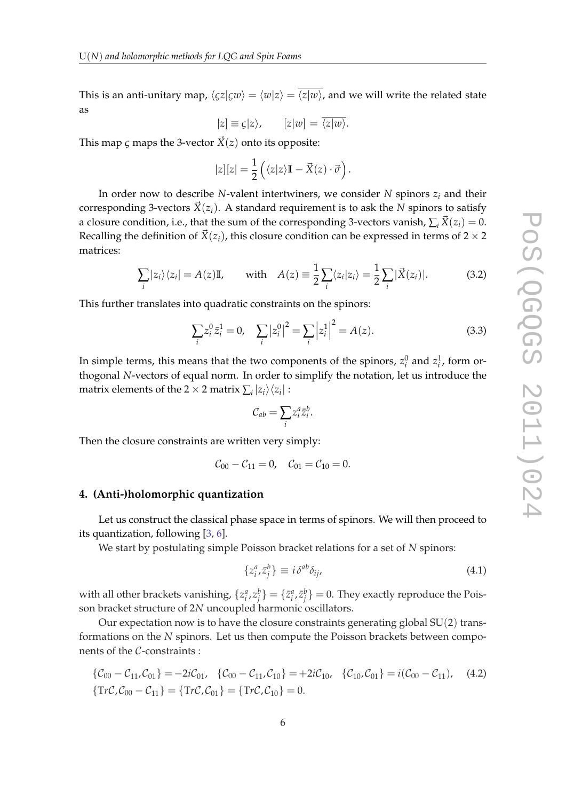<span id="page-5-0"></span>This is an anti-unitary map,  $\langle \zeta z | \zeta w \rangle = \langle w | z \rangle = \overline{\langle z | w \rangle}$ , and we will write the related state as

$$
|z| \equiv \zeta |z\rangle, \qquad [z|w] = \langle z|w\rangle.
$$

This map *c* maps the 3-vector  $\vec{X}(z)$  onto its opposite:

$$
|z|[z] = \frac{1}{2} \left( \langle z|z \rangle \mathbb{I} - \vec{X}(z) \cdot \vec{\sigma} \right).
$$

In order now to describe *N*-valent intertwiners, we consider *N* spinors *z<sup>i</sup>* and their corresponding 3-vectors  $\vec{X}(z_i)$ . A standard requirement is to ask the *N* spinors to satisfy a closure condition, i.e., that the sum of the corresponding 3-vectors vanish,  $\sum_i \vec{X}(z_i) = 0$ . Recalling the definition of  $\vec{X}(z_i)$ , this closure condition can be expressed in terms of 2  $\times$  2 matrices:

$$
\sum_{i} |z_{i}\rangle\langle z_{i}| = A(z)\mathbb{I}, \quad \text{with} \quad A(z) \equiv \frac{1}{2}\sum_{i} \langle z_{i}|z_{i}\rangle = \frac{1}{2}\sum_{i} |\vec{X}(z_{i})|.
$$
 (3.2)

This further translates into quadratic constraints on the spinors:

$$
\sum_{i} z_i^0 \bar{z}_i^1 = 0, \quad \sum_{i} |z_i^0|^2 = \sum_{i} |z_i^1|^2 = A(z). \tag{3.3}
$$

In simple terms, this means that the two components of the spinors,  $z_i^0$  and  $z_i^1$ , form orthogonal *N*-vectors of equal norm. In order to simplify the notation, let us introduce the matrix elements of the 2  $\times$  2 matrix  $\sum_i |z_i\rangle\langle z_i|$ :

$$
\mathcal{C}_{ab} = \sum_i z_i^a \bar{z}_i^b.
$$

Then the closure constraints are written very simply:

$$
C_{00}-C_{11}=0
$$
,  $C_{01}=C_{10}=0$ .

## **4. (Anti-)holomorphic quantization**

Let us construct the classical phase space in terms of spinors. We will then proceed to its quantization, following [[3](#page-15-0), [6](#page-15-0)].

We start by postulating simple Poisson bracket relations for a set of *N* spinors:

$$
\{z_i^a, \bar{z}_j^b\} \equiv i\,\delta^{ab}\,\delta_{ij},\tag{4.1}
$$

with all other brackets vanishing,  $\{z_i^a,z_j^b\}=\{\bar z_i^a,\bar z_j^b\}=0.$  They exactly reproduce the Poisson bracket structure of 2*N* uncoupled harmonic oscillators.

Our expectation now is to have the closure constraints generating global SU(2) transformations on the *N* spinors. Let us then compute the Poisson brackets between components of the C-constraints :

$$
\begin{aligned} \{\mathcal{C}_{00} - \mathcal{C}_{11}, \mathcal{C}_{01}\} &= -2i\mathcal{C}_{01}, \quad \{\mathcal{C}_{00} - \mathcal{C}_{11}, \mathcal{C}_{10}\} = +2i\mathcal{C}_{10}, \quad \{\mathcal{C}_{10}, \mathcal{C}_{01}\} = i(\mathcal{C}_{00} - \mathcal{C}_{11}), \quad \text{(4.2)}\\ \{\text{Tr}\mathcal{C}, \mathcal{C}_{00} - \mathcal{C}_{11}\} &= \{\text{Tr}\mathcal{C}, \mathcal{C}_{01}\} = \{\text{Tr}\mathcal{C}, \mathcal{C}_{10}\} = 0. \end{aligned}
$$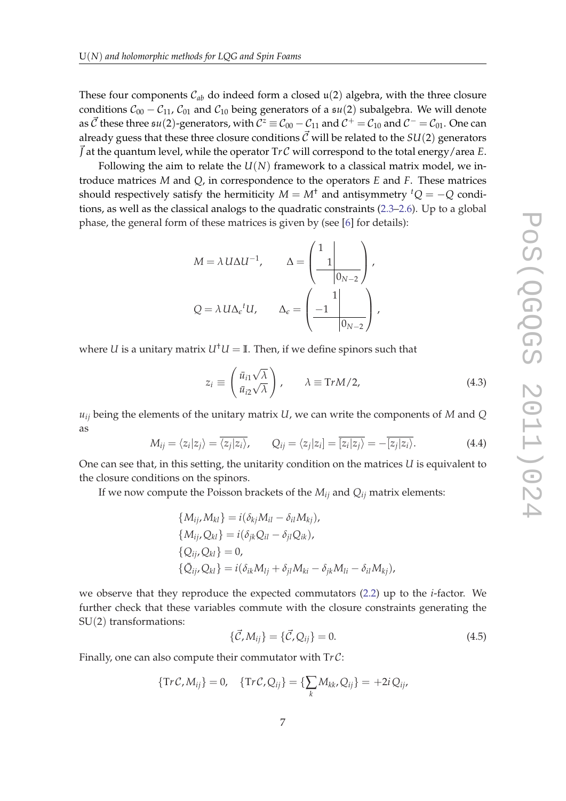<span id="page-6-0"></span>These four components  $C_{ab}$  do indeed form a closed  $\mathfrak{u}(2)$  algebra, with the three closure conditions  $C_{00} - C_{11}$ ,  $C_{01}$  and  $C_{10}$  being generators of a  $\mathfrak{su}(2)$  subalgebra. We will denote as  $\vec{C}$  these three  $\frak{su}(2)$ -generators, with  $\mathcal{C}^z\equiv\mathcal{C}_{00}-\mathcal{C}_{11}$  and  $\mathcal{C}^+=\mathcal{C}_{10}$  and  $\mathcal{C}^-=\mathcal{C}_{01}.$  One can already guess that these three closure conditions  $\vec{C}$  will be related to the *SU*(2) generators  $\vec{J}$  at the quantum level, while the operator  $Tr \mathcal{C}$  will correspond to the total energy/area *E*.

Following the aim to relate the *U*(*N*) framework to a classical matrix model, we introduce matrices *M* and *Q*, in correspondence to the operators *E* and *F*. These matrices should respectively satisfy the hermiticity  $M = M^{\dagger}$  and antisymmetry  ${}^{t}Q = -Q$  conditions, as well as the classical analogs to the quadratic constraints ([2.3](#page-3-0)–[2.6](#page-3-0)). Up to a global phase, the general form of these matrices is given by (see [\[6\]](#page-15-0) for details):

$$
M = \lambda U \Delta U^{-1}, \qquad \Delta = \begin{pmatrix} 1 \\ 1 \\ 0_{N-2} \end{pmatrix},
$$
  

$$
Q = \lambda U \Delta_{\epsilon}{}^{t} U, \qquad \Delta_{\epsilon} = \begin{pmatrix} 1 \\ -1 \\ 0_{N-2} \end{pmatrix},
$$

where *U* is a unitary matrix  $U^{\dagger}U = \mathbb{I}$ . Then, if we define spinors such that

$$
z_i \equiv \begin{pmatrix} \bar{u}_{i1} \sqrt{\lambda} \\ \bar{u}_{i2} \sqrt{\lambda} \end{pmatrix}, \qquad \lambda \equiv \text{Tr} M/2,
$$
 (4.3)

*uij* being the elements of the unitary matrix *U*, we can write the components of *M* and *Q* as

$$
M_{ij} = \langle z_i | z_j \rangle = \overline{\langle z_j | z_i \rangle}, \qquad Q_{ij} = \langle z_j | z_i \rangle = \overline{\overline{|z_i | z_j \rangle}} = -\overline{\overline{|z_j | z_i \rangle}}.
$$
(4.4)

One can see that, in this setting, the unitarity condition on the matrices *U* is equivalent to the closure conditions on the spinors.

If we now compute the Poisson brackets of the  $M_{ij}$  and  $Q_{ij}$  matrix elements:

$$
\{M_{ij}, M_{kl}\} = i(\delta_{kj}M_{il} - \delta_{il}M_{kj}),
$$
  
\n
$$
\{M_{ij}, Q_{kl}\} = i(\delta_{jk}Q_{il} - \delta_{jl}Q_{ik}),
$$
  
\n
$$
\{Q_{ij}, Q_{kl}\} = 0,
$$
  
\n
$$
\{\overline{Q}_{ij}, Q_{kl}\} = i(\delta_{ik}M_{lj} + \delta_{jl}M_{ki} - \delta_{jk}M_{li} - \delta_{il}M_{kj}),
$$

we observe that they reproduce the expected commutators [\(2.2\)](#page-3-0) up to the *i*-factor. We further check that these variables commute with the closure constraints generating the SU(2) transformations:

$$
\{\vec{C}, M_{ij}\} = \{\vec{C}, Q_{ij}\} = 0.
$$
\n(4.5)

Finally, one can also compute their commutator with T*r* C:

$$
\{\mathrm{Tr}\,\mathcal{C},M_{ij}\}=0,\quad \{\mathrm{Tr}\,\mathcal{C},Q_{ij}\}=\{\sum_k M_{kk},Q_{ij}\}=+2i\,Q_{ij},
$$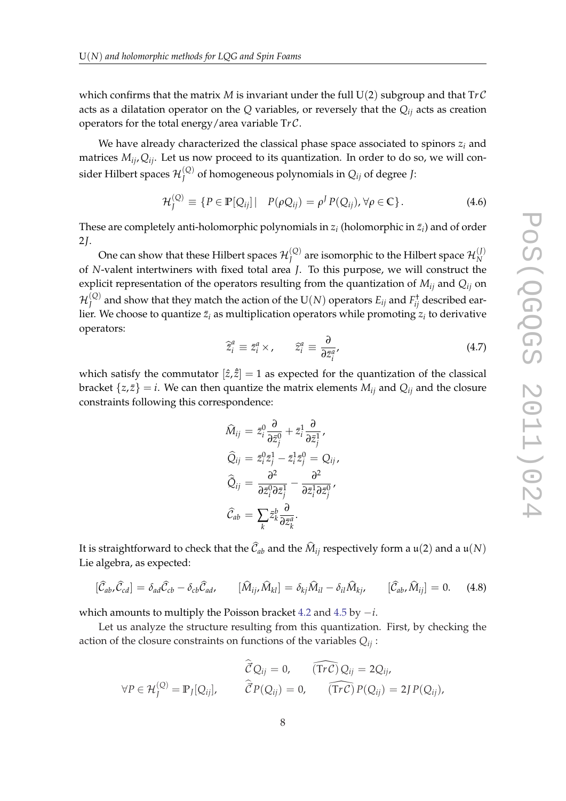which confirms that the matrix *M* is invariant under the full  $U(2)$  subgroup and that  $Tr\mathcal{C}$ acts as a dilatation operator on the *Q* variables, or reversely that the *Qij* acts as creation operators for the total energy/area variable T*r* C.

We have already characterized the classical phase space associated to spinors *z<sup>i</sup>* and matrices *Mij*,*Qij*. Let us now proceed to its quantization. In order to do so, we will consider Hilbert spaces  $\mathcal{H}^{(\text{Q})}_J$ *J* of homogeneous polynomials in *Qij* of degree *J*:

$$
\mathcal{H}_J^{(Q)} \equiv \{ P \in \mathbb{P}[Q_{ij}] \mid P(\rho Q_{ij}) = \rho^I P(Q_{ij}), \forall \rho \in \mathbb{C} \}.
$$
\n(4.6)

These are completely anti-holomorphic polynomials in  $z_i$  (holomorphic in  $\bar{z}_i$ ) and of order 2*J*.

One can show that these Hilbert spaces  $\mathcal{H}^{(\mathcal{Q})}_J$  $J^{(Q)}_J$  are isomorphic to the Hilbert space  ${\cal H}_N^{(J)}$ *N* of *N*-valent intertwiners with fixed total area *J*. To this purpose, we will construct the explicit representation of the operators resulting from the quantization of *Mij* and *Qij* on  $\mathcal{H}^{(\mathcal{Q})}_J$  $J^{(Q)}$  and show that they match the action of the  $\mathrm{U}(N)$  operators  $E_{ij}$  and  $F^\dagger_{ij}$  described earlier. We choose to quantize  $\bar{z}_i$  as multiplication operators while promoting  $z_i$  to derivative operators:

$$
\widehat{z}_i^a \equiv \bar{z}_i^a \times, \qquad \widehat{z}_i^a \equiv \frac{\partial}{\partial \bar{z}_i^a}, \tag{4.7}
$$

which satisfy the commutator  $[\hat{z}, \hat{z}] = 1$  as expected for the quantization of the classical bracket  $\{z, \bar{z}\} = i$ . We can then quantize the matrix elements  $M_{ij}$  and  $Q_{ij}$  and the closure constraints following this correspondence:

$$
\widehat{M}_{ij} = \bar{z}_i^0 \frac{\partial}{\partial \bar{z}_j^0} + \bar{z}_i^1 \frac{\partial}{\partial \bar{z}_j^1},
$$
\n
$$
\widehat{Q}_{ij} = \bar{z}_i^0 \bar{z}_j^1 - \bar{z}_i^1 \bar{z}_j^0 = Q_{ij},
$$
\n
$$
\widehat{Q}_{ij} = \frac{\partial^2}{\partial \bar{z}_i^0 \partial \bar{z}_j^1} - \frac{\partial^2}{\partial \bar{z}_i^1 \partial \bar{z}_j^0},
$$
\n
$$
\widehat{C}_{ab} = \sum_k \bar{z}_k^b \frac{\partial}{\partial \bar{z}_k^a}.
$$

It is straightforward to check that the  $\mathcal{C}_{ab}$  and the  $M_{ij}$  respectively form a  $\mathfrak{u}(2)$  and a  $\mathfrak{u}(N)$ Lie algebra, as expected:

$$
[\hat{\mathcal{C}}_{ab}, \hat{\mathcal{C}}_{cd}] = \delta_{ad} \hat{\mathcal{C}}_{cb} - \delta_{cb} \hat{\mathcal{C}}_{ad}, \qquad [\hat{M}_{ij}, \hat{M}_{kl}] = \delta_{kj} \hat{M}_{il} - \delta_{il} \hat{M}_{kj}, \qquad [\hat{\mathcal{C}}_{ab}, \hat{M}_{ij}] = 0. \tag{4.8}
$$

which amounts to multiply the Poisson bracket [4.2](#page-5-0) and [4.5](#page-6-0) by −*i*.

Let us analyze the structure resulting from this quantization. First, by checking the action of the closure constraints on functions of the variables *Qij* :

$$
\widehat{\mathcal{C}}Q_{ij} = 0, \qquad (\widehat{\text{Tr}\,\mathcal{C}})Q_{ij} = 2Q_{ij},
$$
  
\n
$$
\forall P \in \mathcal{H}_J^{(Q)} = \mathbb{P}_J[Q_{ij}], \qquad \widehat{\mathcal{C}}P(Q_{ij}) = 0, \qquad (\widehat{\text{Tr}\,\mathcal{C}})P(Q_{ij}) = 2JP(Q_{ij}),
$$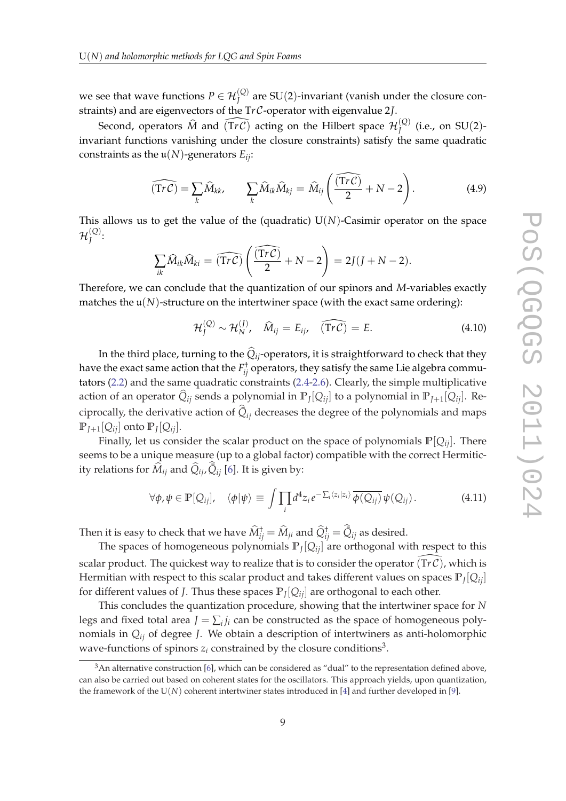we see that wave functions  $P \in \mathcal{H}_{J}^{(Q)}$  are SU(2)-invariant (vanish under the closure constraints) and are eigenvectors of the T*r* C-operator with eigenvalue 2*J*.

Second, operators  $\widehat{M}$  and  $\widehat{(\mathrm{Tr} \mathcal{C})}$  acting on the Hilbert space  $\mathcal{H}^{(\mathrm{Q})}_J$  $J^{(\mathcal{Q})}$  (i.e., on SU(2)invariant functions vanishing under the closure constraints) satisfy the same quadratic constraints as the  $\mathfrak{u}(N)$ -generators  $E_{ij}$ :

$$
\widehat{(\text{Tr }\mathcal{C})} = \sum_{k} \widehat{M}_{kk}, \qquad \sum_{k} \widehat{M}_{ik} \widehat{M}_{kj} = \widehat{M}_{ij} \left( \frac{\widehat{(\text{Tr }\mathcal{C})}}{2} + N - 2 \right). \tag{4.9}
$$

This allows us to get the value of the (quadratic)  $U(N)$ -Casimir operator on the space  $\mathcal{H}^{(\mathcal{Q})}_J$ *J* :

$$
\sum_{ik} \widehat{M}_{ik} \widehat{M}_{ki} = \widehat{(\text{Tr}\,\mathcal{C})} \left( \frac{\widehat{(\text{Tr}\,\mathcal{C})}}{2} + N - 2 \right) = 2J(J + N - 2).
$$

Therefore, we can conclude that the quantization of our spinors and *M*-variables exactly matches the  $\mathfrak{u}(N)$ -structure on the intertwiner space (with the exact same ordering):

$$
\mathcal{H}_J^{(Q)} \sim \mathcal{H}_N^{(J)}, \quad \widehat{M}_{ij} = E_{ij}, \quad (\widehat{\text{Tr}\,\mathcal{C}}) = E. \tag{4.10}
$$

In the third place, turning to the  $\hat{Q}_{ij}$ -operators, it is straightforward to check that they have the exact same action that the  $F_{ij}^\dagger$  operators, they satisfy the same Lie algebra commutators [\(2.2\)](#page-3-0) and the same quadratic constraints ([2.4](#page-3-0)-[2.6\)](#page-3-0). Clearly, the simple multiplicative action of an operator  $Q_{ij}$  sends a polynomial in  $\mathbb{P}_J[Q_{ij}]$  to a polynomial in  $\mathbb{P}_{J+1}[Q_{ij}]$ . Reciprocally, the derivative action of  $\tilde{Q}_{ij}$  decreases the degree of the polynomials and maps  $\mathbb{P}_{J+1}[\mathcal{Q}_{ij}]$  onto  $\mathbb{P}_{J}[\mathcal{Q}_{ij}].$ 

Finally, let us consider the scalar product on the space of polynomials  $\mathbb{P}[Q_{ij}]$ . There seems to be a unique measure (up to a global factor) compatible with the correct Hermiticity relations for  $\widehat{M}_{ij}$  and  $\widehat{Q}_{ij}$ ,  $\widehat{Q}_{ij}$  [[6\]](#page-15-0). It is given by:

$$
\forall \phi, \psi \in \mathbb{P}[Q_{ij}], \quad \langle \phi | \psi \rangle \equiv \int \prod_i d^4 z_i e^{-\sum_i \langle z_i | z_i \rangle} \overline{\phi(Q_{ij})} \psi(Q_{ij}). \tag{4.11}
$$

Then it is easy to check that we have  $\widehat{M}_{ij}^{\dagger}=\widehat{M}_{ji}$  and  $\widehat{Q}_{ij}^{\dagger}=\widehat{Q}_{ij}$  as desired.

The spaces of homogeneous polynomials  $\mathbb{P}_J[Q_{ij}]$  are orthogonal with respect to this scalar product. The quickest way to realize that is to consider the operator  $(\text{Tr } \mathcal{C})$ , which is Hermitian with respect to this scalar product and takes different values on spaces **P***<sup>J</sup>* [*Qij*] for different values of *J*. Thus these spaces **P***<sup>J</sup>* [*Qij*] are orthogonal to each other.

This concludes the quantization procedure, showing that the intertwiner space for *N* legs and fixed total area  $J = \sum_i j_i$  can be constructed as the space of homogeneous polynomials in *Qij* of degree *J*. We obtain a description of intertwiners as anti-holomorphic wave-functions of spinors  $z_i$  constrained by the closure conditions<sup>3</sup>.

 $3$ An alternative construction [\[6\]](#page-15-0), which can be considered as "dual" to the representation defined above, can also be carried out based on coherent states for the oscillators. This approach yields, upon quantization, the framework of the  $U(N)$  coherent intertwiner states introduced in [[4](#page-15-0)] and further developed in [\[9\]](#page-15-0).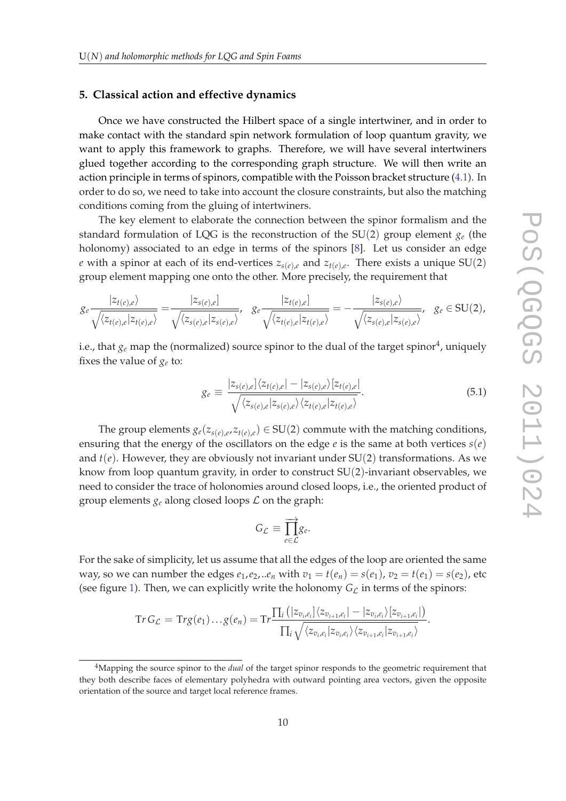#### <span id="page-9-0"></span>**5. Classical action and effective dynamics**

Once we have constructed the Hilbert space of a single intertwiner, and in order to make contact with the standard spin network formulation of loop quantum gravity, we want to apply this framework to graphs. Therefore, we will have several intertwiners glued together according to the corresponding graph structure. We will then write an action principle in terms of spinors, compatible with the Poisson bracket structure ([4.1](#page-5-0)). In order to do so, we need to take into account the closure constraints, but also the matching conditions coming from the gluing of intertwiners.

The key element to elaborate the connection between the spinor formalism and the standard formulation of LQG is the reconstruction of the SU(2) group element *g<sup>e</sup>* (the holonomy) associated to an edge in terms of the spinors [[8](#page-15-0)]. Let us consider an edge *e* with a spinor at each of its end-vertices  $z_{s(e),e}$  and  $z_{t(e),e}$ . There exists a unique SU(2) group element mapping one onto the other. More precisely, the requirement that

$$
g_e \frac{|z_{t(e),e}\rangle}{\sqrt{\langle z_{t(e),e}|z_{t(e),e}\rangle}} = \frac{|z_{s(e),e}|}{\sqrt{\langle z_{s(e),e}|z_{s(e),e}\rangle}}, \quad g_e \frac{|z_{t(e),e}|}{\sqrt{\langle z_{t(e),e}|z_{t(e),e}\rangle}} = -\frac{|z_{s(e),e}\rangle}{\sqrt{\langle z_{s(e),e}|z_{s(e),e}\rangle}}, \quad g_e \in SU(2),
$$

i.e., that  $g_e$  map the (normalized) source spinor to the dual of the target spinor<sup>4</sup>, uniquely fixes the value of  $g_e$  to:

$$
g_e \equiv \frac{|z_{s(e),e}|\langle z_{t(e),e}|-|z_{s(e),e}\rangle[z_{t(e),e}|}{\sqrt{\langle z_{s(e),e}|z_{s(e),e}\rangle\langle z_{t(e),e}|z_{t(e),e}\rangle}}.
$$
(5.1)

The group elements  $g_e(z_{s(e),e}, z_{t(e),e}) \in SU(2)$  commute with the matching conditions, ensuring that the energy of the oscillators on the edge  $e$  is the same at both vertices  $s(e)$ and  $t(e)$ . However, they are obviously not invariant under  $SU(2)$  transformations. As we know from loop quantum gravity, in order to construct SU(2)-invariant observables, we need to consider the trace of holonomies around closed loops, i.e., the oriented product of group elements  $g_e$  along closed loops  $\mathcal L$  on the graph:

$$
G_{\mathcal{L}}\equiv\prod_{e\in\mathcal{L}}^{\longrightarrow}g_e.
$$

For the sake of simplicity, let us assume that all the edges of the loop are oriented the same way, so we can number the edges  $e_1$ ,  $e_2$ , .. $e_n$  with  $v_1 = t(e_n) = s(e_1)$ ,  $v_2 = t(e_1) = s(e_2)$ , etc (see figure [1\)](#page-10-0). Then, we can explicitly write the holonomy  $G_{\mathcal{L}}$  in terms of the spinors:

$$
\mathrm{Tr}\, G_{\mathcal{L}}=\mathrm{Tr} g(e_1)\ldots g(e_n)=\mathrm{Tr}\frac{\prod_i\left(|z_{v_i,e_i}|\langle z_{v_{i+1},e_i}|-|z_{v_i,e_i}\rangle[z_{v_{i+1},e_i}|\right)}{\prod_i\sqrt{\langle z_{v_i,e_i}|z_{v_{i+1},e_i}\rangle\langle z_{v_{i+1},e_i}|z_{v_{i+1},e_i}\rangle}}.
$$

<sup>4</sup>Mapping the source spinor to the *dual* of the target spinor responds to the geometric requirement that they both describe faces of elementary polyhedra with outward pointing area vectors, given the opposite orientation of the source and target local reference frames.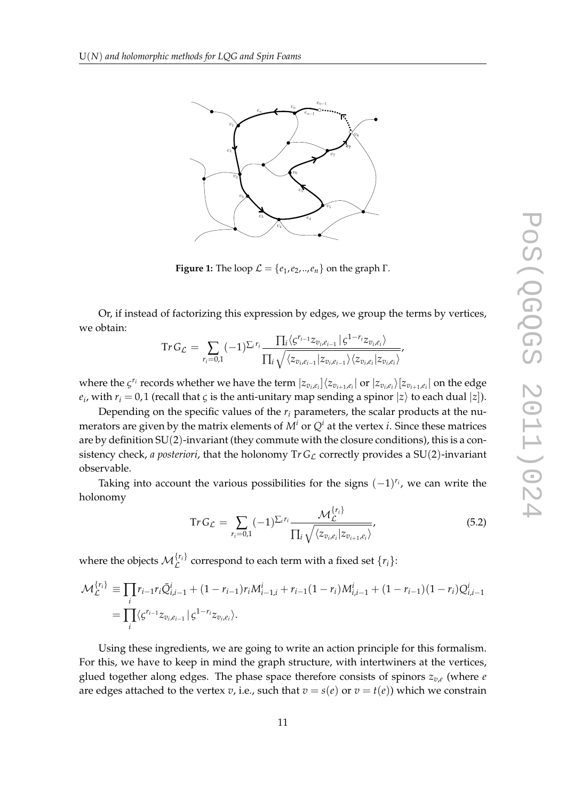<span id="page-10-0"></span>

 $F_{\rm eff} = {e^{2\pi i} \over 2\pi} \left( {e^{2\pi i} \over 2\pi} \right)^{2/3} \left( {e^{2\pi i} \over 2\pi} \right)^{2/3}$ **Figure 1:** The loop  $\mathcal{L} = \{e_1, e_2, ..., e_n\}$  on the graph  $\Gamma$ .

Or, if instead of factorizing this expression by edges, we group the terms by vertices,<br>∤kkies we obtain:  $\mathcal{F}_{\mathcal{F}}$ 

$$
\text{Tr}\, G_{\mathcal{L}}\, =\, \sum_{r_i=0,1} (-1)^{\sum_i r_i}\frac{\prod_i \langle \zeta^{r_{i-1}}z_{v_i,e_{i-1}}\,|\, \zeta^{1-r_i}z_{v_i,e_i}\rangle}{\prod_i \sqrt{\langle z_{v_i,e_{i-1}}\,|z_{v_i,e_{i-1}}\rangle\langle z_{v_i,e_i}\,|z_{v_i,e_i}\rangle}},
$$

generated by the matching conditions. So there are genuine observables on the space of spin networks. where the  $\zeta^{r_i}$  records whether we have the term  $|z_{v_i,e_i}\rangle\langle z_{v_{i+1},e_i}|$  or  $|z_{v_i,e_i}\rangle\langle z_{v_{i+1},e_i}|$  on the edge  $e_i$ , with  $r_i = 0,1$  (recall that  $\varsigma$  is the anti-unitary map sending a spinor  $|z\rangle$  to each dual  $|z|$ ).

Depending on the specific values of the  $r_i$  parameters, the scalar products at the nu- $E_{\text{e}}$  behavior of the specific theorem merators are given by the matrix elements of  $M^i$  or  $Q^i$  at the vertex *i*. Since these matrices  $\epsilon$  of  $\epsilon$  and  $\epsilon$  is the second second times.  $\frac{1}{2}$ ef  $\frac{1}{2}$ em $\frac{1}{2}$ r $\frac{1}{2}$ are by definition  $\mathop{\rm SU}(2)$ -invariant (they commute with the closure conditions), this is a consistency check, *a posteriori*, that the holonomy  $Tr G_{\mathcal{L}}$  correctly provides a SU(2)-invariant absorption Therefore the quantization of the holonomy observable is obvious apart from the factors at the denominator. First, observable.

Taking into account the various possibilities for the signs  $(-1)^{r_i}$ , we can write the holonomy on the intertwiner living at v. The natural quantization of the natural quantization of the natural  $\mathcal{L}$ need the inverse studies same root of the inverse operators and they do have a  $(n)$ 

$$
\operatorname{Tr} G_{\mathcal{L}} = \sum_{r_i=0,1} (-1)^{\sum_i r_i} \frac{\mathcal{M}_{\mathcal{L}}^{\{r_i\}}}{\prod_i \sqrt{\langle z_{v_i,e_i} | z_{v_{i+1},e_i} \rangle}},\tag{5.2}
$$

where the objects  $\mathcal{M}_{\mathcal{L}}^{\{r_i\}}$  correspond to each term with a fixed set  $\{r_i\}$ :

$$
\mathcal{M}_{\mathcal{L}}^{\{r_i\}} \equiv \prod_i r_{i-1} r_i \bar{Q}_{i,i-1}^i + (1 - r_{i-1}) r_i M_{i-1,i}^i + r_{i-1} (1 - r_i) M_{i,i-1}^i + (1 - r_{i-1}) (1 - r_i) Q_{i,i-1}^i
$$
  
= 
$$
\prod_i \langle \zeta^{r_{i-1}} z_{v_i, e_{i-1}} | \zeta^{1-r_i} z_{v_i, e_i} \rangle.
$$

Using these ingredients, we are going to write an action principle for this formalism.<br> Estrig these higherature, we are going to write an action principle for this formalism.<br>For this, we have to keep in mind the graph structure, with intertwiners at the vertices, glued together along edges. The phase space therefore consists of spinors  $z_{v,e}$  (where *e* are edges attached to the vertex *v*, i.e., such that  $v = s(e)$  or  $v = t(e)$ ) which we constrain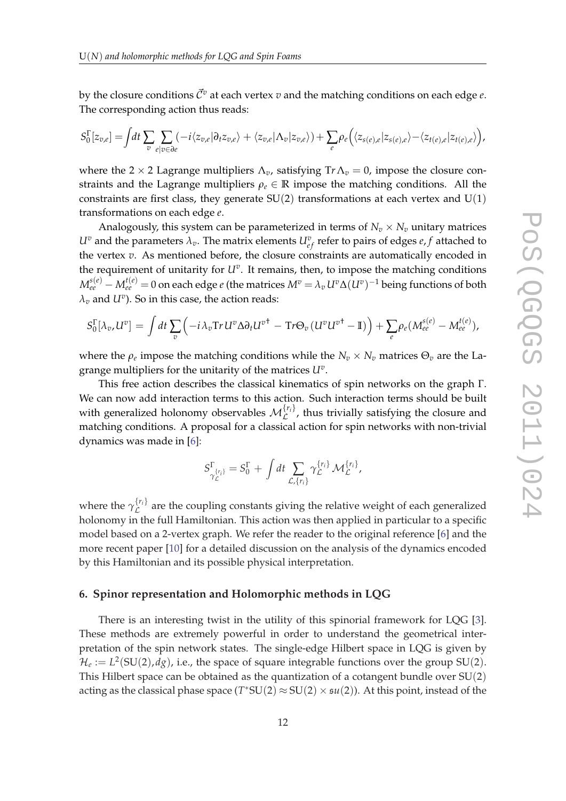by the closure conditions  $\vec{C}^v$  at each vertex *v* and the matching conditions on each edge *e*. The corresponding action thus reads:

$$
S_0^{\Gamma}[z_{v,e}] = \int dt \sum_{v} \sum_{e|v \in \partial e} (-i \langle z_{v,e} | \partial_t z_{v,e} \rangle + \langle z_{v,e} | \Lambda_v | z_{v,e} \rangle) + \sum_{e} \rho_e \Big( \langle z_{s(e),e} | z_{s(e),e} \rangle - \langle z_{t(e),e} | z_{t(e),e} \rangle \Big),
$$

where the 2  $\times$  2 Lagrange multipliers  $\Lambda_v$ , satisfying Tr $\Lambda_v$  = 0, impose the closure constraints and the Lagrange multipliers  $\rho_e \in \mathbb{R}$  impose the matching conditions. All the constraints are first class, they generate  $SU(2)$  transformations at each vertex and  $U(1)$ transformations on each edge *e*.

Analogously, this system can be parameterized in terms of  $N_v \times N_v$  unitary matrices  $U^v$  and the parameters  $\lambda_v$ . The matrix elements  $U^v_{ef}$  refer to pairs of edges  $e, f$  attached to the vertex *v*. As mentioned before, the closure constraints are automatically encoded in the requirement of unitarity for *U<sup>v</sup>* . It remains, then, to impose the matching conditions  $M_{ee}^{s(e)}-M_{ee}^{t(e)}=0$  on each edge  $e$  (the matrices  $M^v=\lambda_v\,U^v\Delta(U^v)^{-1}$  being functions of both  $\lambda_v$  and  $U^v$ ). So in this case, the action reads:

$$
S_0^{\Gamma}[\lambda_v, U^v] = \int dt \sum_v \left( -i \lambda_v \text{Tr} U^v \Delta \partial_t U^{v^{\dagger}} - \text{Tr} \Theta_v (U^v U^{v^{\dagger}} - \mathbb{I}) \right) + \sum_e \rho_e (M_{ee}^{s(e)} - M_{ee}^{t(e)}),
$$

where the  $\rho_e$  impose the matching conditions while the  $N_v \times N_v$  matrices  $\Theta_v$  are the Lagrange multipliers for the unitarity of the matrices *U<sup>v</sup>* .

This free action describes the classical kinematics of spin networks on the graph Γ. We can now add interaction terms to this action. Such interaction terms should be built with generalized holonomy observables  $\mathcal{M}_{\mathcal{L}}^{\{r_i\}}$ , thus trivially satisfying the closure and  $\sum_{L}$  and  $\sum_{L}$  and  $\sum_{L}$  and  $\sum_{L}$  and  $\sum_{L}$  and  $\sum_{L}$  and  $\sum_{L}$  are  $\sum_{L}$  and  $\sum_{L}$  and  $\sum_{L}$  and  $\sum_{L}$  and  $\sum_{L}$  and  $\sum_{L}$  and  $\sum_{L}$  and  $\sum_{L}$  and  $\sum_{L}$  and  $\sum_{L}$  and  $\sum_{L}$  and  $\sum_{L$ dynamics was made in [\[6\]](#page-15-0):

$$
S_{\gamma_{\mathcal{L}}^{\{\!r_i\!\}}}^{\Gamma} = S_0^{\Gamma} + \int dt \sum_{\mathcal{L},\{r_i\}} \gamma_{\mathcal{L}}^{\{r_i\}} \mathcal{M}_{\mathcal{L}}^{\{r_i\}},
$$

where the  $\gamma_{\mathcal{L}}^{\{r_i\}}$  $\mathcal{L}^{(1)}$  are the coupling constants giving the relative weight of each generalized holonomy in the full Hamiltonian. This action was then applied in particular to a specific model based on a 2-vertex graph. We refer the reader to the original reference [[6](#page-15-0)] and the more recent paper [[10\]](#page-15-0) for a detailed discussion on the analysis of the dynamics encoded by this Hamiltonian and its possible physical interpretation.

#### **6. Spinor representation and Holomorphic methods in LQG**

There is an interesting twist in the utility of this spinorial framework for LQG [\[3\]](#page-15-0). These methods are extremely powerful in order to understand the geometrical interpretation of the spin network states. The single-edge Hilbert space in LQG is given by  $\mathcal{H}_e := L^2(SU(2), dg)$ , i.e., the space of square integrable functions over the group SU(2). This Hilbert space can be obtained as the quantization of a cotangent bundle over  $SU(2)$ acting as the classical phase space  $(T^*SU(2) \approx SU(2) \times {\frak su}(2))$ . At this point, instead of the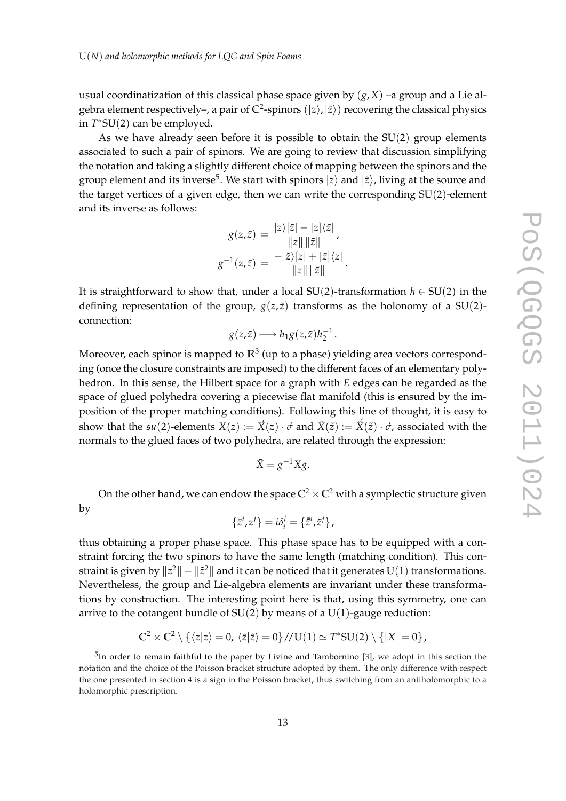usual coordinatization of this classical phase space given by  $(g, X)$  –a group and a Lie algebra element respectively–, a pair of  $\mathbb{C}^2$ -spinors  $(|z\rangle,|\tilde{z}\rangle)$  recovering the classical physics in *T* ∗SU(2) can be employed.

As we have already seen before it is possible to obtain the  $SU(2)$  group elements associated to such a pair of spinors. We are going to review that discussion simplifying the notation and taking a slightly different choice of mapping between the spinors and the group element and its inverse<sup>5</sup>. We start with spinors  $|z\rangle$  and  $|\tilde{z}\rangle$ , living at the source and the target vertices of a given edge, then we can write the corresponding SU(2)-element and its inverse as follows:

$$
g(z,\tilde{z}) = \frac{|z\rangle[\tilde{z}| - |z\rangle\langle\tilde{z}|}{\|z\| \|\tilde{z}\|},
$$

$$
g^{-1}(z,\tilde{z}) = \frac{-|\tilde{z}\rangle[z| + |\tilde{z}]\langle z|}{\|z\| \|\tilde{z}\|}.
$$

It is straightforward to show that, under a local  $SU(2)$ -transformation  $h \in SU(2)$  in the defining representation of the group,  $g(z, \tilde{z})$  transforms as the holonomy of a SU(2)connection:

$$
g(z,\tilde{z}) \longmapsto h_1 g(z,\tilde{z}) h_2^{-1}.
$$

Moreover, each spinor is mapped to **R**<sup>3</sup> (up to a phase) yielding area vectors corresponding (once the closure constraints are imposed) to the different faces of an elementary polyhedron. In this sense, the Hilbert space for a graph with *E* edges can be regarded as the space of glued polyhedra covering a piecewise flat manifold (this is ensured by the imposition of the proper matching conditions). Following this line of thought, it is easy to show that the  $\mathfrak{su}(2)$ -elements  $X(z) := \vec{X}(z) \cdot \vec{\sigma}$  and  $\tilde{X}(\tilde{z}) := \vec{X}(\tilde{z}) \cdot \vec{\sigma}$ , associated with the normals to the glued faces of two polyhedra, are related through the expression:

$$
\tilde{X} = g^{-1}Xg.
$$

On the other hand, we can endow the space  $\mathbb{C}^2 \times \mathbb{C}^2$  with a symplectic structure given by

$$
\{\bar{z}^i,z^j\}=i\delta_i^j=\{\bar{z}^i,\tilde{z}^j\},\,
$$

thus obtaining a proper phase space. This phase space has to be equipped with a constraint forcing the two spinors to have the same length (matching condition). This constraint is given by  $\|z^2\|-\|\tilde z^2\|$  and it can be noticed that it generates  $\mathrm{U}(1)$  transformations. Nevertheless, the group and Lie-algebra elements are invariant under these transformations by construction. The interesting point here is that, using this symmetry, one can arrive to the cotangent bundle of  $SU(2)$  by means of a  $U(1)$ -gauge reduction:

$$
\mathbb{C}^2 \times \mathbb{C}^2 \setminus \{ \langle z|z \rangle = 0, \langle \tilde{z}|\tilde{z} \rangle = 0 \} / \mathcal{U}(1) \simeq T^* SU(2) \setminus \{ |X| = 0 \},
$$

<sup>&</sup>lt;sup>5</sup>In order to remain faithful to the paper by Livine and Tambornino [\[3\]](#page-15-0), we adopt in this section the notation and the choice of the Poisson bracket structure adopted by them. The only difference with respect the one presented in section 4 is a sign in the Poisson bracket, thus switching from an antiholomorphic to a holomorphic prescription.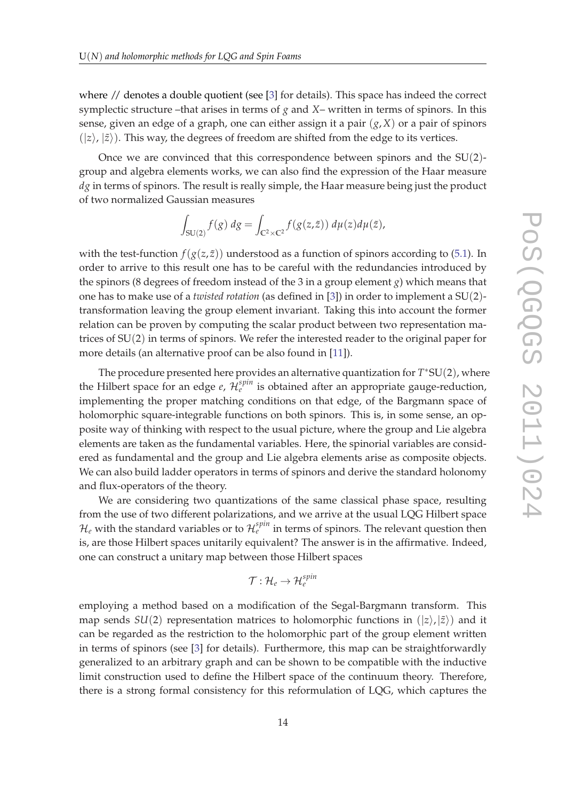where // denotes a double quotient (see [\[3\]](#page-15-0) for details). This space has indeed the correct symplectic structure –that arises in terms of *g* and *X*– written in terms of spinors. In this sense, given an edge of a graph, one can either assign it a pair  $(g, X)$  or a pair of spinors  $(|z\rangle, |\tilde{z}\rangle)$ . This way, the degrees of freedom are shifted from the edge to its vertices.

Once we are convinced that this correspondence between spinors and the SU(2) group and algebra elements works, we can also find the expression of the Haar measure *dg* in terms of spinors. The result is really simple, the Haar measure being just the product of two normalized Gaussian measures

$$
\int_{\mathrm{SU}(2)} f(g) \, dg = \int_{\mathbb{C}^2 \times \mathbb{C}^2} f(g(z, \tilde{z})) \, d\mu(z) d\mu(\tilde{z}),
$$

with the test-function  $f(g(z, \tilde{z}))$  understood as a function of spinors according to [\(5.1\)](#page-9-0). In order to arrive to this result one has to be careful with the redundancies introduced by the spinors (8 degrees of freedom instead of the 3 in a group element *g*) which means that one has to make use of a *twisted rotation* (as defined in [\[3\]](#page-15-0)) in order to implement a SU(2) transformation leaving the group element invariant. Taking this into account the former relation can be proven by computing the scalar product between two representation matrices of SU(2) in terms of spinors. We refer the interested reader to the original paper for more details (an alternative proof can be also found in [\[11](#page-16-0)]).

The procedure presented here provides an alternative quantization for *T* ∗SU(2), where the Hilbert space for an edge  $e$ ,  $\mathcal{H}_e^{spin}$  is obtained after an appropriate gauge-reduction, implementing the proper matching conditions on that edge, of the Bargmann space of holomorphic square-integrable functions on both spinors. This is, in some sense, an opposite way of thinking with respect to the usual picture, where the group and Lie algebra elements are taken as the fundamental variables. Here, the spinorial variables are considered as fundamental and the group and Lie algebra elements arise as composite objects. We can also build ladder operators in terms of spinors and derive the standard holonomy and flux-operators of the theory.

We are considering two quantizations of the same classical phase space, resulting from the use of two different polarizations, and we arrive at the usual LQG Hilbert space  $\mathcal{H}_e$  with the standard variables or to  $\mathcal{H}_e^{spin}$  in terms of spinors. The relevant question then is, are those Hilbert spaces unitarily equivalent? The answer is in the affirmative. Indeed, one can construct a unitary map between those Hilbert spaces

$$
\mathcal{T}:\mathcal{H}_e\rightarrow \mathcal{H}_e^{spin}
$$

employing a method based on a modification of the Segal-Bargmann transform. This map sends *SU*(2) representation matrices to holomorphic functions in  $(|z\rangle,|\tilde{z}\rangle)$  and it can be regarded as the restriction to the holomorphic part of the group element written in terms of spinors (see [[3](#page-15-0)] for details). Furthermore, this map can be straightforwardly generalized to an arbitrary graph and can be shown to be compatible with the inductive limit construction used to define the Hilbert space of the continuum theory. Therefore, there is a strong formal consistency for this reformulation of LQG, which captures the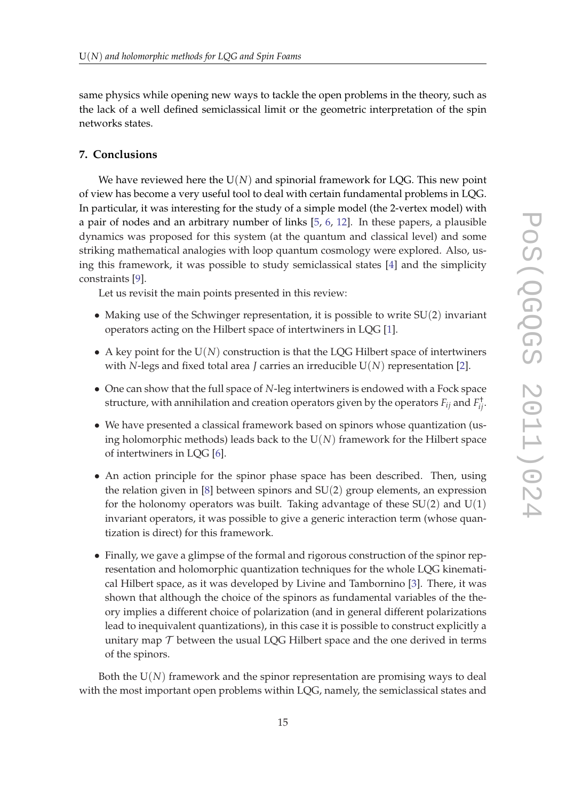same physics while opening new ways to tackle the open problems in the theory, such as the lack of a well defined semiclassical limit or the geometric interpretation of the spin networks states.

## **7. Conclusions**

We have reviewed here the  $U(N)$  and spinorial framework for LQG. This new point of view has become a very useful tool to deal with certain fundamental problems in LQG. In particular, it was interesting for the study of a simple model (the 2-vertex model) with a pair of nodes and an arbitrary number of links [\[5,](#page-15-0) [6,](#page-15-0) [12\]](#page-16-0). In these papers, a plausible dynamics was proposed for this system (at the quantum and classical level) and some striking mathematical analogies with loop quantum cosmology were explored. Also, using this framework, it was possible to study semiclassical states [\[4\]](#page-15-0) and the simplicity constraints [\[9\]](#page-15-0).

Let us revisit the main points presented in this review:

- Making use of the Schwinger representation, it is possible to write SU(2) invariant operators acting on the Hilbert space of intertwiners in LQG [\[1\]](#page-15-0).
- A key point for the  $U(N)$  construction is that the LQG Hilbert space of intertwiners with *N*-legs and fixed total area *J* carries an irreducible U(*N*) representation [[2](#page-15-0)].
- One can show that the full space of *N*-leg intertwiners is endowed with a Fock space structure, with annihilation and creation operators given by the operators  $F_{ij}$  and  $F^\dagger_{ij}$ .
- We have presented a classical framework based on spinors whose quantization (using holomorphic methods) leads back to the  $U(N)$  framework for the Hilbert space of intertwiners in LQG [[6](#page-15-0)].
- An action principle for the spinor phase space has been described. Then, using the relation given in [\[8\]](#page-15-0) between spinors and SU(2) group elements, an expression for the holonomy operators was built. Taking advantage of these  $SU(2)$  and  $U(1)$ invariant operators, it was possible to give a generic interaction term (whose quantization is direct) for this framework.
- Finally, we gave a glimpse of the formal and rigorous construction of the spinor representation and holomorphic quantization techniques for the whole LQG kinematical Hilbert space, as it was developed by Livine and Tambornino [\[3](#page-15-0)]. There, it was shown that although the choice of the spinors as fundamental variables of the theory implies a different choice of polarization (and in general different polarizations lead to inequivalent quantizations), in this case it is possible to construct explicitly a unitary map  $\mathcal T$  between the usual LQG Hilbert space and the one derived in terms of the spinors.

Both the  $U(N)$  framework and the spinor representation are promising ways to deal with the most important open problems within LQG, namely, the semiclassical states and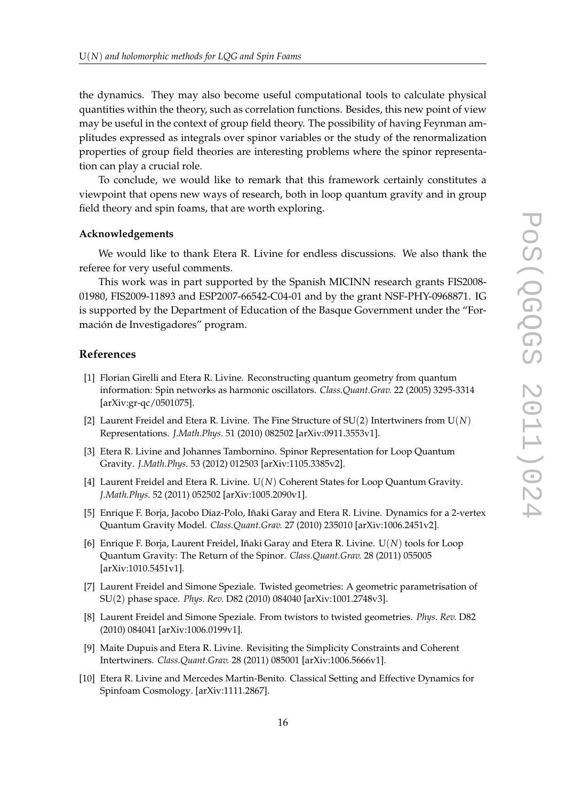<span id="page-15-0"></span>the dynamics. They may also become useful computational tools to calculate physical quantities within the theory, such as correlation functions. Besides, this new point of view may be useful in the context of group field theory. The possibility of having Feynman amplitudes expressed as integrals over spinor variables or the study of the renormalization properties of group field theories are interesting problems where the spinor representation can play a crucial role.

To conclude, we would like to remark that this framework certainly constitutes a viewpoint that opens new ways of research, both in loop quantum gravity and in group field theory and spin foams, that are worth exploring.

#### **Acknowledgements**

We would like to thank Etera R. Livine for endless discussions. We also thank the referee for very useful comments.

This work was in part supported by the Spanish MICINN research grants FIS2008- 01980, FIS2009-11893 and ESP2007-66542-C04-01 and by the grant NSF-PHY-0968871. IG is supported by the Department of Education of the Basque Government under the "Formación de Investigadores" program.

### **References**

- [1] Florian Girelli and Etera R. Livine. Reconstructing quantum geometry from quantum information: Spin networks as harmonic oscillators. *Class.Quant.Grav.* 22 (2005) 3295-3314 [arXiv:gr-qc/0501075].
- [2] Laurent Freidel and Etera R. Livine. The Fine Structure of SU(2) Intertwiners from U(*N*) Representations. *J.Math.Phys.* 51 (2010) 082502 [arXiv:0911.3553v1].
- [3] Etera R. Livine and Johannes Tambornino. Spinor Representation for Loop Quantum Gravity. *J.Math.Phys.* 53 (2012) 012503 [arXiv:1105.3385v2].
- [4] Laurent Freidel and Etera R. Livine. U(*N*) Coherent States for Loop Quantum Gravity. *J.Math.Phys.* 52 (2011) 052502 [arXiv:1005.2090v1].
- [5] Enrique F. Borja, Jacobo Diaz-Polo, Iñaki Garay and Etera R. Livine. Dynamics for a 2-vertex Quantum Gravity Model. *Class.Quant.Grav.* 27 (2010) 235010 [arXiv:1006.2451v2].
- [6] Enrique F. Borja, Laurent Freidel, Iñaki Garay and Etera R. Livine. U(*N*) tools for Loop Quantum Gravity: The Return of the Spinor. *Class.Quant.Grav.* 28 (2011) 055005 [arXiv:1010.5451v1].
- [7] Laurent Freidel and Simone Speziale. Twisted geometries: A geometric parametrisation of SU(2) phase space. *Phys. Rev.* D82 (2010) 084040 [arXiv:1001.2748v3].
- [8] Laurent Freidel and Simone Speziale. From twistors to twisted geometries. *Phys. Rev.* D82 (2010) 084041 [arXiv:1006.0199v1].
- [9] Maite Dupuis and Etera R. Livine. Revisiting the Simplicity Constraints and Coherent Intertwiners. *Class.Quant.Grav.* 28 (2011) 085001 [arXiv:1006.5666v1].
- [10] Etera R. Livine and Mercedes Martin-Benito. Classical Setting and Effective Dynamics for Spinfoam Cosmology. [arXiv:1111.2867].